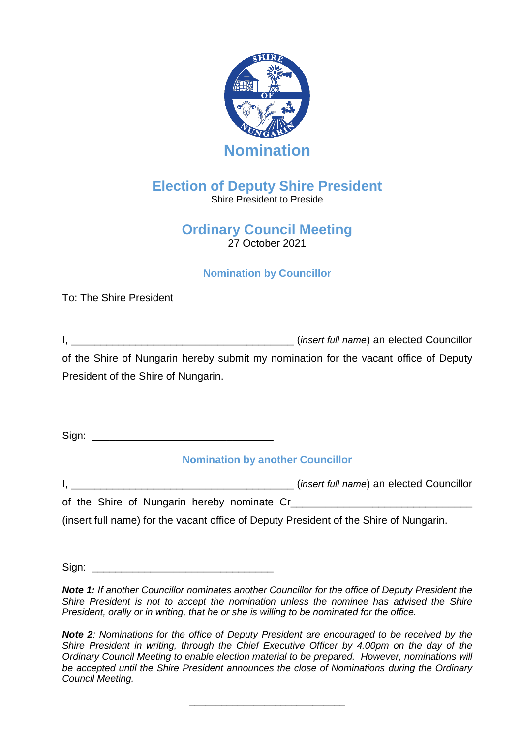

# **Election of Deputy Shire President**

Shire President to Preside

## **Ordinary Council Meeting** 27 October 2021

### **Nomination by Councillor**

To: The Shire President

I, \_\_\_\_\_\_\_\_\_\_\_\_\_\_\_\_\_\_\_\_\_\_\_\_\_\_\_\_\_\_\_\_\_\_\_\_\_\_ (*insert full name*) an elected Councillor of the Shire of Nungarin hereby submit my nomination for the vacant office of Deputy President of the Shire of Nungarin.

 $Sign:$ 

**Nomination by another Councillor**

I, \_\_\_\_\_\_\_\_\_\_\_\_\_\_\_\_\_\_\_\_\_\_\_\_\_\_\_\_\_\_\_\_\_\_\_\_\_\_ (*insert full name*) an elected Councillor of the Shire of Nungarin hereby nominate Cr\_\_\_\_

(insert full name) for the vacant office of Deputy President of the Shire of Nungarin.

 $Sign:$ 

*Note 1: If another Councillor nominates another Councillor for the office of Deputy President the Shire President is not to accept the nomination unless the nominee has advised the Shire President, orally or in writing, that he or she is willing to be nominated for the office.*

*Note* 2*:* Nominations for the office of Deputy President are encouraged to be received by the *Shire President in writing, through the Chief Executive Officer by 4.00pm on the day of the Ordinary Council Meeting to enable election material to be prepared. However, nominations will be accepted until the Shire President announces the close of Nominations during the Ordinary Council Meeting.* 

\_\_\_\_\_\_\_\_\_\_\_\_\_\_\_\_\_\_\_\_\_\_\_\_\_\_\_\_\_